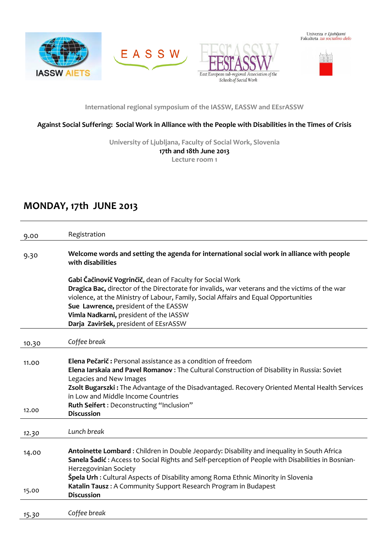







**International regional symposium of the IASSW, EASSW and EEsrASSW**

### **Against Social Suffering: Social Work in Alliance with the People with Disabilities in the Times of Crisis**

**University of Ljubljana, Faculty of Social Work, Slovenia 17th and 18th June 2013 Lecture room 1**

## **MONDAY, 17th JUNE 2013**

| 9.00  | Registration                                                                                                                                                                                     |
|-------|--------------------------------------------------------------------------------------------------------------------------------------------------------------------------------------------------|
| 9.30  | Welcome words and setting the agenda for international social work in alliance with people<br>with disabilities                                                                                  |
|       | Gabi Čačinovič Vogrinčič, dean of Faculty for Social Work                                                                                                                                        |
|       | Dragica Bac, director of the Directorate for invalids, war veterans and the victims of the war                                                                                                   |
|       | violence, at the Ministry of Labour, Family, Social Affairs and Equal Opportunities                                                                                                              |
|       | Sue Lawrence, president of the EASSW<br>Vimla Nadkarni, president of the IASSW                                                                                                                   |
|       | Darja Zaviršek, president of EEsrASSW                                                                                                                                                            |
|       |                                                                                                                                                                                                  |
| 10.30 | Coffee break                                                                                                                                                                                     |
| 11.00 | <b>Elena Pečarič:</b> Personal assistance as a condition of freedom<br>Elena Iarskaia and Pavel Romanov: The Cultural Construction of Disability in Russia: Soviet                               |
|       | Legacies and New Images                                                                                                                                                                          |
|       | Zsolt Bugarszki: The Advantage of the Disadvantaged. Recovery Oriented Mental Health Services<br>in Low and Middle Income Countries                                                              |
|       | Ruth Seifert : Deconstructing "Inclusion"                                                                                                                                                        |
| 12.00 | <b>Discussion</b>                                                                                                                                                                                |
| 12.30 | Lunch break                                                                                                                                                                                      |
|       |                                                                                                                                                                                                  |
| 14.00 | Antoinette Lombard: Children in Double Jeopardy: Disability and inequality in South Africa<br>Sanela Šadić : Access to Social Rights and Self-perception of People with Disabilities in Bosnian- |
|       | Herzegovinian Society                                                                                                                                                                            |
|       | <b>Špela Urh :</b> Cultural Aspects of Disability among Roma Ethnic Minority in Slovenia                                                                                                         |
| 15.00 | Katalin Tausz: A Community Support Research Program in Budapest<br><b>Discussion</b>                                                                                                             |
|       |                                                                                                                                                                                                  |
| 15.30 | Coffee break                                                                                                                                                                                     |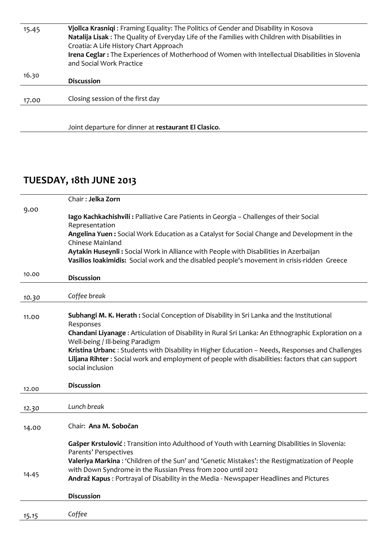| 15.45 | Vjollca Krasniqi : Framing Equality: The Politics of Gender and Disability in Kosova             |
|-------|--------------------------------------------------------------------------------------------------|
|       | Natalija Lisak : The Quality of Everyday Life of the Families with Children with Disabilities in |
|       | Croatia: A Life History Chart Approach                                                           |
|       | Irena Ceglar: The Experiences of Motherhood of Women with Intellectual Disabilities in Slovenia  |
|       | and Social Work Practice                                                                         |
| 16.30 |                                                                                                  |
|       | <b>Discussion</b>                                                                                |
|       |                                                                                                  |
| 17.00 | Closing session of the first day                                                                 |
|       |                                                                                                  |

Joint departure for dinner at **restaurant El Clasico**.

# **TUESDAY, 18th JUNE 2013**

|       | Chair: Jelka Zorn                                                                                                                                                                                                                                                                                                                                                                                                                                                          |
|-------|----------------------------------------------------------------------------------------------------------------------------------------------------------------------------------------------------------------------------------------------------------------------------------------------------------------------------------------------------------------------------------------------------------------------------------------------------------------------------|
| 9.00  | lago Kachkachishvili: Palliative Care Patients in Georgia - Challenges of their Social<br>Representation<br>Angelina Yuen: Social Work Education as a Catalyst for Social Change and Development in the<br>Chinese Mainland<br>Aytakin Huseynli: Social Work in Alliance with People with Disabilities in Azerbaijan<br>Vasilios loakimidis: Social work and the disabled people's movement in crisis-ridden Greece                                                        |
| 10.00 | <b>Discussion</b>                                                                                                                                                                                                                                                                                                                                                                                                                                                          |
| 10.30 | Coffee break                                                                                                                                                                                                                                                                                                                                                                                                                                                               |
| 11.00 | Subhangi M. K. Herath: Social Conception of Disability in Sri Lanka and the Institutional<br>Responses<br>Chandani Liyanage: Articulation of Disability in Rural Sri Lanka: An Ethnographic Exploration on a<br>Well-being / Ill-being Paradigm<br>Kristina Urbanc: Students with Disability in Higher Education - Needs, Responses and Challenges<br>Liljana Rihter: Social work and employment of people with disabilities: factors that can support<br>social inclusion |
| 12.00 | <b>Discussion</b>                                                                                                                                                                                                                                                                                                                                                                                                                                                          |
| 12.30 | Lunch break                                                                                                                                                                                                                                                                                                                                                                                                                                                                |
| 14.00 | Chair: Ana M. Sobočan                                                                                                                                                                                                                                                                                                                                                                                                                                                      |
| 14.45 | Gašper Krstulović: Transition into Adulthood of Youth with Learning Disabilities in Slovenia:<br>Parents' Perspectives<br>Valeriya Markina : 'Children of the Sun' and 'Genetic Mistakes': the Restigmatization of People<br>with Down Syndrome in the Russian Press from 2000 until 2012<br>Andraž Kapus: Portrayal of Disability in the Media - Newspaper Headlines and Pictures<br><b>Discussion</b>                                                                    |
| 15.15 | Coffee                                                                                                                                                                                                                                                                                                                                                                                                                                                                     |